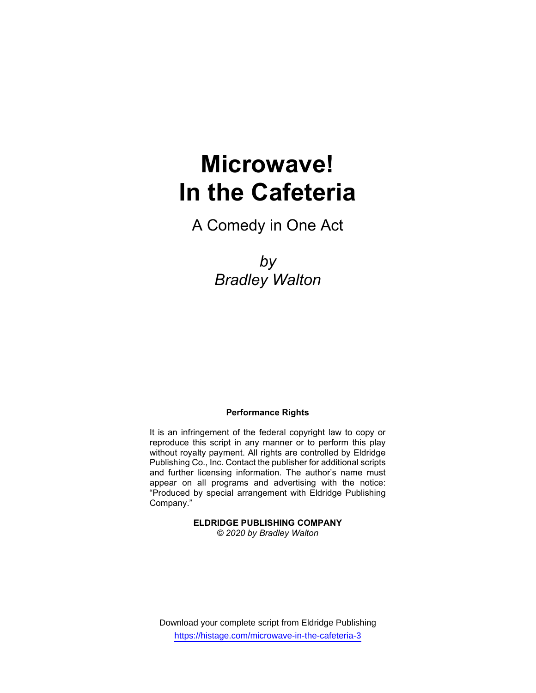# Microwave! In the Cafeteria

A Comedy in One Act

by Bradley Walton

#### Performance Rights

It is an infringement of the federal copyright law to copy or reproduce this script in any manner or to perform this play without royalty payment. All rights are controlled by Eldridge Publishing Co., Inc. Contact the publisher for additional scripts and further licensing information. The author's name must appear on all programs and advertising with the notice: "Produced by special arrangement with Eldridge Publishing Company."

# ELDRIDGE PUBLISHING COMPANY

© 2020 by Bradley Walton

Download your complete script from Eldridge Publishing https://histage.com/microwave-in-the-cafeteria-3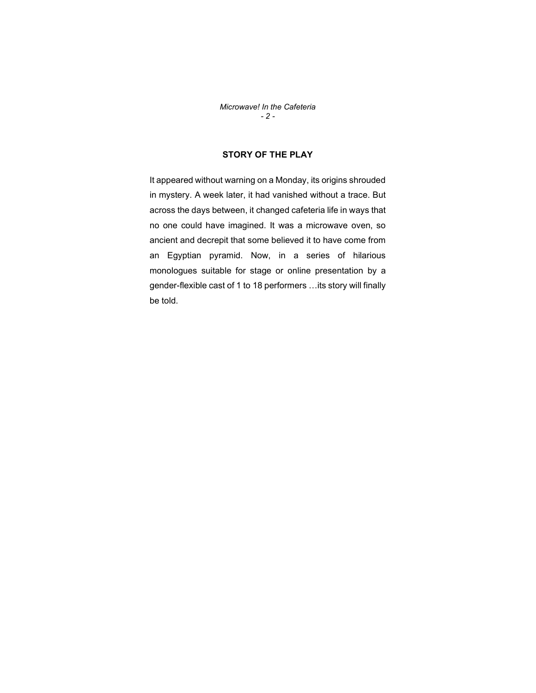Microwave! In the Cafeteria  $- 2 -$ 

## STORY OF THE PLAY

It appeared without warning on a Monday, its origins shrouded in mystery. A week later, it had vanished without a trace. But across the days between, it changed cafeteria life in ways that no one could have imagined. It was a microwave oven, so ancient and decrepit that some believed it to have come from an Egyptian pyramid. Now, in a series of hilarious monologues suitable for stage or online presentation by a gender-flexible cast of 1 to 18 performers …its story will finally be told.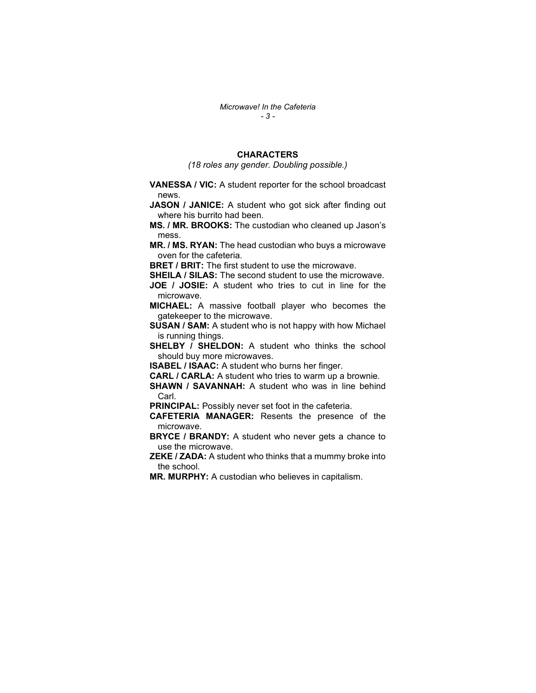### **CHARACTERS**

(18 roles any gender. Doubling possible.)

VANESSA / VIC: A student reporter for the school broadcast news.

JASON / JANICE: A student who got sick after finding out where his burrito had been.

MS. / MR. BROOKS: The custodian who cleaned up Jason's mess.

MR. / MS. RYAN: The head custodian who buys a microwave oven for the cafeteria.

**BRET / BRIT:** The first student to use the microwave.

**SHEILA / SILAS:** The second student to use the microwave.

JOE / JOSIE: A student who tries to cut in line for the microwave.

MICHAEL: A massive football player who becomes the gatekeeper to the microwave.

SUSAN / SAM: A student who is not happy with how Michael is running things.

SHELBY / SHELDON: A student who thinks the school should buy more microwaves.

ISABEL / ISAAC: A student who burns her finger.

CARL / CARLA: A student who tries to warm up a brownie.

SHAWN / SAVANNAH: A student who was in line behind Carl.

PRINCIPAL: Possibly never set foot in the cafeteria.

CAFETERIA MANAGER: Resents the presence of the microwave.

**BRYCE / BRANDY:** A student who never gets a chance to use the microwave.

ZEKE / ZADA: A student who thinks that a mummy broke into the school.

MR. MURPHY: A custodian who believes in capitalism.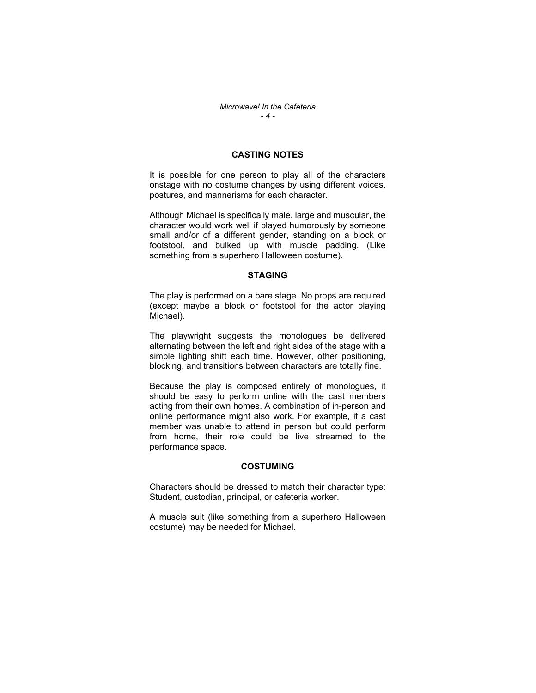#### CASTING NOTES

It is possible for one person to play all of the characters onstage with no costume changes by using different voices, postures, and mannerisms for each character.

Although Michael is specifically male, large and muscular, the character would work well if played humorously by someone small and/or of a different gender, standing on a block or footstool, and bulked up with muscle padding. (Like something from a superhero Halloween costume).

#### **STAGING**

The play is performed on a bare stage. No props are required (except maybe a block or footstool for the actor playing Michael).

The playwright suggests the monologues be delivered alternating between the left and right sides of the stage with a simple lighting shift each time. However, other positioning, blocking, and transitions between characters are totally fine.

Because the play is composed entirely of monologues, it should be easy to perform online with the cast members acting from their own homes. A combination of in-person and online performance might also work. For example, if a cast member was unable to attend in person but could perform from home, their role could be live streamed to the performance space.

#### COSTUMING

Characters should be dressed to match their character type: Student, custodian, principal, or cafeteria worker.

A muscle suit (like something from a superhero Halloween costume) may be needed for Michael.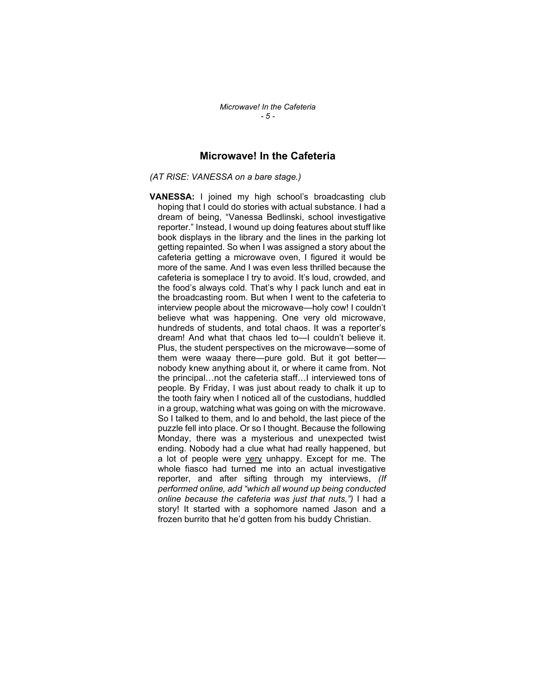## Microwave! In the Cafeteria

(AT RISE: VANESSA on a bare stage.)

VANESSA: I joined my high school's broadcasting club hoping that I could do stories with actual substance. I had a dream of being, "Vanessa Bedlinski, school investigative reporter." Instead, I wound up doing features about stuff like book displays in the library and the lines in the parking lot getting repainted. So when I was assigned a story about the cafeteria getting a microwave oven, I figured it would be more of the same. And I was even less thrilled because the cafeteria is someplace I try to avoid. It's loud, crowded, and the food's always cold. That's why I pack lunch and eat in the broadcasting room. But when I went to the cafeteria to interview people about the microwave—holy cow! I couldn't believe what was happening. One very old microwave, hundreds of students, and total chaos. It was a reporter's dream! And what that chaos led to—I couldn't believe it. Plus, the student perspectives on the microwave—some of them were waaay there—pure gold. But it got better nobody knew anything about it, or where it came from. Not the principal…not the cafeteria staff…I interviewed tons of people. By Friday, I was just about ready to chalk it up to the tooth fairy when I noticed all of the custodians, huddled in a group, watching what was going on with the microwave. So I talked to them, and lo and behold, the last piece of the puzzle fell into place. Or so I thought. Because the following Monday, there was a mysterious and unexpected twist ending. Nobody had a clue what had really happened, but a lot of people were very unhappy. Except for me. The whole fiasco had turned me into an actual investigative reporter, and after sifting through my interviews, (If performed online, add "which all wound up being conducted online because the cafeteria was just that nuts,") I had a story! It started with a sophomore named Jason and a frozen burrito that he'd gotten from his buddy Christian.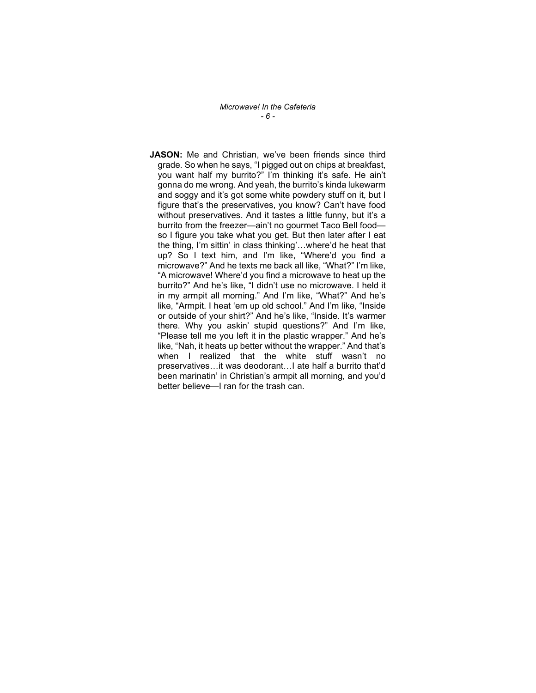Microwave! In the Cafeteria - 6 -

JASON: Me and Christian, we've been friends since third grade. So when he says, "I pigged out on chips at breakfast, you want half my burrito?" I'm thinking it's safe. He ain't gonna do me wrong. And yeah, the burrito's kinda lukewarm and soggy and it's got some white powdery stuff on it, but I figure that's the preservatives, you know? Can't have food without preservatives. And it tastes a little funny, but it's a burrito from the freezer—ain't no gourmet Taco Bell food so I figure you take what you get. But then later after I eat the thing, I'm sittin' in class thinking'…where'd he heat that up? So I text him, and I'm like, "Where'd you find a microwave?" And he texts me back all like, "What?" I'm like, "A microwave! Where'd you find a microwave to heat up the burrito?" And he's like, "I didn't use no microwave. I held it in my armpit all morning." And I'm like, "What?" And he's like, "Armpit. I heat 'em up old school." And I'm like, "Inside or outside of your shirt?" And he's like, "Inside. It's warmer there. Why you askin' stupid questions?" And I'm like, "Please tell me you left it in the plastic wrapper." And he's like, "Nah, it heats up better without the wrapper." And that's when I realized that the white stuff wasn't no preservatives…it was deodorant…I ate half a burrito that'd been marinatin' in Christian's armpit all morning, and you'd better believe—I ran for the trash can.